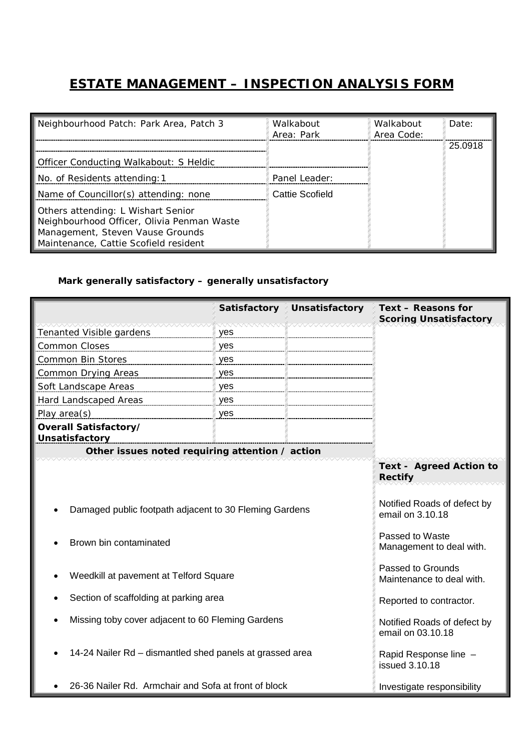## **ESTATE MANAGEMENT – INSPECTION ANALYSIS FORM**

| Neighbourhood Patch: Park Area, Patch 3                                                                                                                       | Walkabout<br>Area: Park | Walkabout<br>Area Code: | Date:   |
|---------------------------------------------------------------------------------------------------------------------------------------------------------------|-------------------------|-------------------------|---------|
| Officer Conducting Walkabout: S Heldic                                                                                                                        |                         |                         | 25.0918 |
| No. of Residents attending: 1                                                                                                                                 | Panel Leader:           |                         |         |
| Name of Councillor(s) attending: none                                                                                                                         | Cattie Scofield         |                         |         |
| Others attending: L Wishart Senior<br>Neighbourhood Officer, Olivia Penman Waste<br>Management, Steven Vause Grounds<br>Maintenance, Cattie Scofield resident |                         |                         |         |

## *Mark generally satisfactory – generally unsatisfactory*

|                                                                                  | Satisfactory | <b>Unsatisfactory</b>                                                                                                                                                   | Text - Reasons for<br><b>Scoring Unsatisfactory</b> |  |
|----------------------------------------------------------------------------------|--------------|-------------------------------------------------------------------------------------------------------------------------------------------------------------------------|-----------------------------------------------------|--|
| Tenanted Visible gardens                                                         | yes          |                                                                                                                                                                         |                                                     |  |
| <b>Common Closes</b>                                                             | yes          |                                                                                                                                                                         |                                                     |  |
| <b>Common Bin Stores</b>                                                         | yes          |                                                                                                                                                                         |                                                     |  |
| Common Drying Areas                                                              | yes          |                                                                                                                                                                         |                                                     |  |
| Soft Landscape Areas                                                             | yes          |                                                                                                                                                                         |                                                     |  |
| Hard Landscaped Areas                                                            | yes          |                                                                                                                                                                         |                                                     |  |
| Play area(s)                                                                     | yes          |                                                                                                                                                                         |                                                     |  |
| Overall Satisfactory/<br>Unsatisfactory                                          |              |                                                                                                                                                                         |                                                     |  |
| Other issues noted requiring attention / action                                  |              |                                                                                                                                                                         |                                                     |  |
| Damaged public footpath adjacent to 30 Fleming Gardens<br>Brown bin contaminated |              | <b>Text - Agreed Action to</b><br><b>Rectify</b><br>Notified Roads of defect by<br>email on 3.10.18<br>Passed to Waste<br>Management to deal with.<br>Passed to Grounds |                                                     |  |
| Weedkill at pavement at Telford Square                                           |              |                                                                                                                                                                         | Maintenance to deal with.                           |  |
| Section of scaffolding at parking area                                           |              |                                                                                                                                                                         | Reported to contractor.                             |  |
| Missing toby cover adjacent to 60 Fleming Gardens                                |              |                                                                                                                                                                         | Notified Roads of defect by<br>email on 03.10.18    |  |
| 14-24 Nailer Rd - dismantled shed panels at grassed area                         |              |                                                                                                                                                                         | Rapid Response line -<br>issued 3.10.18             |  |
| 26-36 Nailer Rd. Armchair and Sofa at front of block                             |              |                                                                                                                                                                         | Investigate responsibility                          |  |